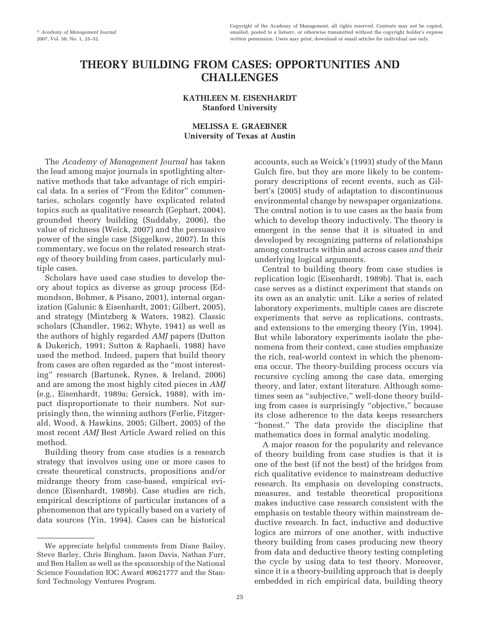# **THEORY BUILDING FROM CASES: OPPORTUNITIES AND CHALLENGES**

# **KATHLEEN M. EISENHARDT Stanford University**

# **MELISSA E. GRAEBNER University of Texas at Austin**

The *Academy of Management Journal* has taken the lead among major journals in spotlighting alternative methods that take advantage of rich empirical data. In a series of "From the Editor" commentaries, scholars cogently have explicated related topics such as qualitative research (Gephart, 2004), grounded theory building (Suddaby, 2006), the value of richness (Weick, 2007) and the persuasive power of the single case (Siggelkow, 2007). In this commentary, we focus on the related research strategy of theory building from cases, particularly multiple cases.

Scholars have used case studies to develop theory about topics as diverse as group process (Edmondson, Bohmer, & Pisano, 2001), internal organization (Galunic & Eisenhardt, 2001; Gilbert, 2005), and strategy (Mintzberg & Waters, 1982). Classic scholars (Chandler, 1962; Whyte, 1941) as well as the authors of highly regarded *AMJ* papers (Dutton & Dukerich, 1991; Sutton & Raphaeli, 1988) have used the method. Indeed, papers that build theory from cases are often regarded as the "most interesting" research (Bartunek, Rynes, & Ireland, 2006) and are among the most highly cited pieces in *AMJ* (e.g., Eisenhardt, 1989a; Gersick, 1988), with impact disproportionate to their numbers. Not surprisingly then, the winning authors (Ferlie, Fitzgerald, Wood, & Hawkins, 2005; Gilbert, 2005) of the most recent *AMJ* Best Article Award relied on this method.

Building theory from case studies is a research strategy that involves using one or more cases to create theoretical constructs, propositions and/or midrange theory from case-based, empirical evidence (Eisenhardt, 1989b). Case studies are rich, empirical descriptions of particular instances of a phenomenon that are typically based on a variety of data sources (Yin, 1994). Cases can be historical

We appreciate helpful comments from Diane Bailey, Steve Barley, Chris Bingham, Jason Davis, Nathan Furr, and Ben Hallen as well as the sponsorship of the National Science Foundation IOC Award #0621777 and the Stanford Technology Ventures Program.

accounts, such as Weick's (1993) study of the Mann Gulch fire, but they are more likely to be contemporary descriptions of recent events, such as Gilbert's (2005) study of adaptation to discontinuous environmental change by newspaper organizations. The central notion is to use cases as the basis from which to develop theory inductively. The theory is emergent in the sense that it is situated in and developed by recognizing patterns of relationships among constructs within and across cases *and* their underlying logical arguments.

Central to building theory from case studies is replication logic (Eisenhardt, 1989b). That is, each case serves as a distinct experiment that stands on its own as an analytic unit. Like a series of related laboratory experiments, multiple cases are discrete experiments that serve as replications, contrasts, and extensions to the emerging theory (Yin, 1994). But while laboratory experiments isolate the phenomena from their context, case studies emphasize the rich, real-world context in which the phenomena occur. The theory-building process occurs via recursive cycling among the case data, emerging theory, and later, extant literature. Although sometimes seen as "subjective," well-done theory building from cases is surprisingly "objective," because its close adherence to the data keeps researchers "honest." The data provide the discipline that mathematics does in formal analytic modeling.

A major reason for the popularity and relevance of theory building from case studies is that it is one of the best (if not the best) of the bridges from rich qualitative evidence to mainstream deductive research. Its emphasis on developing constructs, measures, and testable theoretical propositions makes inductive case research consistent with the emphasis on testable theory within mainstream deductive research. In fact, inductive and deductive logics are mirrors of one another, with inductive theory building from cases producing new theory from data and deductive theory testing completing the cycle by using data to test theory. Moreover, since it is a theory-building approach that is deeply embedded in rich empirical data, building theory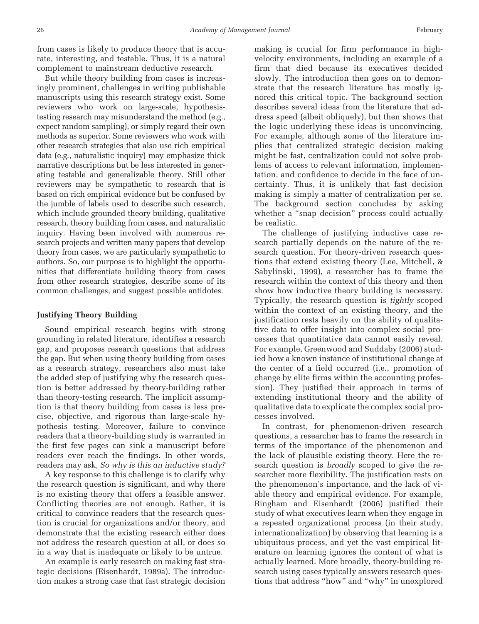from cases is likely to produce theory that is accurate, interesting, and testable. Thus, it is a natural complement to mainstream deductive research.

But while theory building from cases is increasingly prominent, challenges in writing publishable manuscripts using this research strategy exist. Some reviewers who work on large-scale, hypothesistesting research may misunderstand the method (e.g., expect random sampling), or simply regard their own methods as superior. Some reviewers who work with other research strategies that also use rich empirical data (e.g., naturalistic inquiry) may emphasize thick narrative descriptions but be less interested in generating testable and generalizable theory. Still other reviewers may be sympathetic to research that is based on rich empirical evidence but be confused by the jumble of labels used to describe such research, which include grounded theory building, qualitative research, theory building from cases, and naturalistic inquiry. Having been involved with numerous research projects and written many papers that develop theory from cases, we are particularly sympathetic to authors. So, our purpose is to highlight the opportunities that differentiate building theory from cases from other research strategies, describe some of its common challenges, and suggest possible antidotes.

## **Justifying Theory Building**

Sound empirical research begins with strong grounding in related literature, identifies a research gap, and proposes research questions that address the gap. But when using theory building from cases as a research strategy, researchers also must take the added step of justifying why the research question is better addressed by theory-building rather than theory-testing research. The implicit assumption is that theory building from cases is less precise, objective, and rigorous than large-scale hypothesis testing. Moreover, failure to convince readers that a theory-building study is warranted in the first few pages can sink a manuscript before readers ever reach the findings. In other words, readers may ask, *So why is this an inductive study?*

A key response to this challenge is to clarify why the research question is significant, and why there is no existing theory that offers a feasible answer. Conflicting theories are not enough. Rather, it is critical to convince readers that the research question is crucial for organizations and/or theory, and demonstrate that the existing research either does not address the research question at all, or does so in a way that is inadequate or likely to be untrue.

An example is early research on making fast strategic decisions (Eisenhardt, 1989a). The introduction makes a strong case that fast strategic decision making is crucial for firm performance in highvelocity environments, including an example of a firm that died because its executives decided slowly. The introduction then goes on to demonstrate that the research literature has mostly ignored this critical topic. The background section describes several ideas from the literature that address speed (albeit obliquely), but then shows that the logic underlying these ideas is unconvincing. For example, although some of the literature implies that centralized strategic decision making might be fast, centralization could not solve problems of access to relevant information, implementation, and confidence to decide in the face of uncertainty. Thus, it is unlikely that fast decision making is simply a matter of centralization per se. The background section concludes by asking whether a "snap decision" process could actually be realistic.

The challenge of justifying inductive case research partially depends on the nature of the research question. For theory-driven research questions that extend existing theory (Lee, Mitchell, & Sabylinski, 1999), a researcher has to frame the research within the context of this theory and then show how inductive theory building is necessary. Typically, the research question is *tightly* scoped within the context of an existing theory, and the justification rests heavily on the ability of qualitative data to offer insight into complex social processes that quantitative data cannot easily reveal. For example, Greenwood and Suddaby (2006) studied how a known instance of institutional change at the center of a field occurred (i.e., promotion of change by elite firms within the accounting profession). They justified their approach in terms of extending institutional theory and the ability of qualitative data to explicate the complex social processes involved.

In contrast, for phenomenon-driven research questions, a researcher has to frame the research in terms of the importance of the phenomenon and the lack of plausible existing theory. Here the research question is *broadly* scoped to give the researcher more flexibility. The justification rests on the phenomenon's importance, and the lack of viable theory and empirical evidence. For example, Bingham and Eisenhardt (2006) justified their study of what executives learn when they engage in a repeated organizational process (in their study, internationalization) by observing that learning is a ubiquitous process, and yet the vast empirical literature on learning ignores the content of what is actually learned. More broadly, theory-building research using cases typically answers research questions that address "how" and "why" in unexplored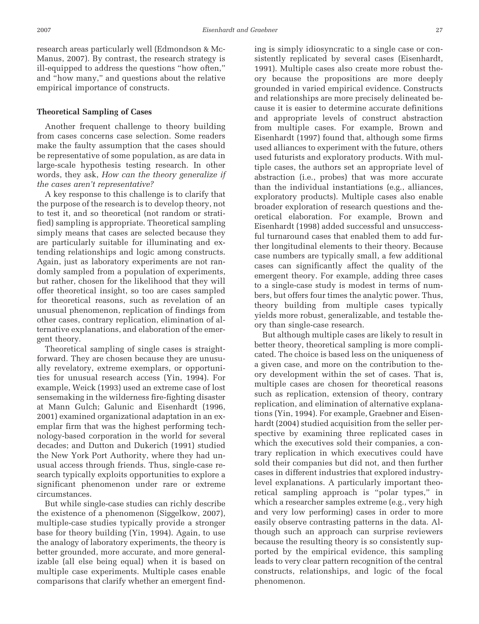research areas particularly well (Edmondson & Mc-Manus, 2007). By contrast, the research strategy is ill-equipped to address the questions "how often," and "how many," and questions about the relative empirical importance of constructs.

### **Theoretical Sampling of Cases**

Another frequent challenge to theory building from cases concerns case selection. Some readers make the faulty assumption that the cases should be representative of some population, as are data in large-scale hypothesis testing research. In other words, they ask, *How can the theory generalize if the cases aren't representative?*

A key response to this challenge is to clarify that the purpose of the research is to develop theory, not to test it, and so theoretical (not random or stratified) sampling is appropriate. Theoretical sampling simply means that cases are selected because they are particularly suitable for illuminating and extending relationships and logic among constructs. Again, just as laboratory experiments are not randomly sampled from a population of experiments, but rather, chosen for the likelihood that they will offer theoretical insight, so too are cases sampled for theoretical reasons, such as revelation of an unusual phenomenon, replication of findings from other cases, contrary replication, elimination of alternative explanations, and elaboration of the emergent theory.

Theoretical sampling of single cases is straightforward. They are chosen because they are unusually revelatory, extreme exemplars, or opportunities for unusual research access (Yin, 1994). For example, Weick (1993) used an extreme case of lost sensemaking in the wilderness fire-fighting disaster at Mann Gulch; Galunic and Eisenhardt (1996, 2001) examined organizational adaptation in an exemplar firm that was the highest performing technology-based corporation in the world for several decades; and Dutton and Dukerich (1991) studied the New York Port Authority, where they had unusual access through friends. Thus, single-case research typically exploits opportunities to explore a significant phenomenon under rare or extreme circumstances.

But while single-case studies can richly describe the existence of a phenomenon (Siggelkow, 2007), multiple-case studies typically provide a stronger base for theory building (Yin, 1994). Again, to use the analogy of laboratory experiments, the theory is better grounded, more accurate, and more generalizable (all else being equal) when it is based on multiple case experiments. Multiple cases enable comparisons that clarify whether an emergent finding is simply idiosyncratic to a single case or consistently replicated by several cases (Eisenhardt, 1991). Multiple cases also create more robust theory because the propositions are more deeply grounded in varied empirical evidence. Constructs and relationships are more precisely delineated because it is easier to determine accurate definitions and appropriate levels of construct abstraction from multiple cases. For example, Brown and Eisenhardt (1997) found that, although some firms used alliances to experiment with the future, others used futurists and exploratory products. With multiple cases, the authors set an appropriate level of abstraction (i.e., probes) that was more accurate than the individual instantiations (e.g., alliances, exploratory products). Multiple cases also enable broader exploration of research questions and theoretical elaboration. For example, Brown and Eisenhardt (1998) added successful and unsuccessful turnaround cases that enabled them to add further longitudinal elements to their theory. Because case numbers are typically small, a few additional cases can significantly affect the quality of the emergent theory. For example, adding three cases to a single-case study is modest in terms of numbers, but offers four times the analytic power. Thus, theory building from multiple cases typically yields more robust, generalizable, and testable theory than single-case research.

But although multiple cases are likely to result in better theory, theoretical sampling is more complicated. The choice is based less on the uniqueness of a given case, and more on the contribution to theory development within the set of cases. That is, multiple cases are chosen for theoretical reasons such as replication, extension of theory, contrary replication, and elimination of alternative explanations (Yin, 1994). For example, Graebner and Eisenhardt (2004) studied acquisition from the seller perspective by examining three replicated cases in which the executives sold their companies, a contrary replication in which executives could have sold their companies but did not, and then further cases in different industries that explored industrylevel explanations. A particularly important theoretical sampling approach is "polar types," in which a researcher samples extreme (e.g., very high and very low performing) cases in order to more easily observe contrasting patterns in the data. Although such an approach can surprise reviewers because the resulting theory is so consistently supported by the empirical evidence, this sampling leads to very clear pattern recognition of the central constructs, relationships, and logic of the focal phenomenon.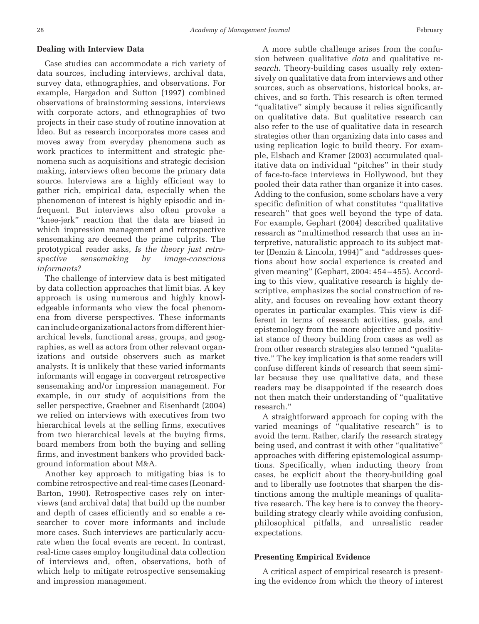## **Dealing with Interview Data**

Case studies can accommodate a rich variety of data sources, including interviews, archival data, survey data, ethnographies, and observations. For example, Hargadon and Sutton (1997) combined observations of brainstorming sessions, interviews with corporate actors, and ethnographies of two projects in their case study of routine innovation at Ideo. But as research incorporates more cases and moves away from everyday phenomena such as work practices to intermittent and strategic phenomena such as acquisitions and strategic decision making, interviews often become the primary data source. Interviews are a highly efficient way to gather rich, empirical data, especially when the phenomenon of interest is highly episodic and infrequent. But interviews also often provoke a "knee-jerk" reaction that the data are biased in which impression management and retrospective sensemaking are deemed the prime culprits. The prototypical reader asks, *Is the theory just retrospective sensemaking by image-conscious informants?*

The challenge of interview data is best mitigated by data collection approaches that limit bias. A key approach is using numerous and highly knowledgeable informants who view the focal phenomena from diverse perspectives. These informants can include organizational actors from different hierarchical levels, functional areas, groups, and geographies, as well as actors from other relevant organizations and outside observers such as market analysts. It is unlikely that these varied informants informants will engage in convergent retrospective sensemaking and/or impression management. For example, in our study of acquisitions from the seller perspective, Graebner and Eisenhardt (2004) we relied on interviews with executives from two hierarchical levels at the selling firms, executives from two hierarchical levels at the buying firms, board members from both the buying and selling firms, and investment bankers who provided background information about M&A.

Another key approach to mitigating bias is to combine retrospective and real-time cases (Leonard-Barton, 1990). Retrospective cases rely on interviews (and archival data) that build up the number and depth of cases efficiently and so enable a researcher to cover more informants and include more cases. Such interviews are particularly accurate when the focal events are recent. In contrast, real-time cases employ longitudinal data collection of interviews and, often, observations, both of which help to mitigate retrospective sensemaking and impression management.

A more subtle challenge arises from the confusion between qualitative *data* and qualitative *research*. Theory-building cases usually rely extensively on qualitative data from interviews and other sources, such as observations, historical books, archives, and so forth. This research is often termed "qualitative" simply because it relies significantly on qualitative data. But qualitative research can also refer to the use of qualitative data in research strategies other than organizing data into cases and using replication logic to build theory. For example, Elsbach and Kramer (2003) accumulated qualitative data on individual "pitches" in their study of face-to-face interviews in Hollywood, but they pooled their data rather than organize it into cases. Adding to the confusion, some scholars have a very specific definition of what constitutes "qualitative research" that goes well beyond the type of data. For example, Gephart (2004) described qualitative research as "multimethod research that uses an interpretive, naturalistic approach to its subject matter (Denzin & Lincoln, 1994)" and "addresses questions about how social experience is created and given meaning" (Gephart, 2004: 454 – 455). According to this view, qualitative research is highly descriptive, emphasizes the social construction of reality, and focuses on revealing how extant theory operates in particular examples. This view is different in terms of research activities, goals, and epistemology from the more objective and positivist stance of theory building from cases as well as from other research strategies also termed "qualitative." The key implication is that some readers will confuse different kinds of research that seem similar because they use qualitative data, and these readers may be disappointed if the research does not then match their understanding of "qualitative research."

A straightforward approach for coping with the varied meanings of "qualitative research" is to avoid the term. Rather, clarify the research strategy being used, and contrast it with other "qualitative" approaches with differing epistemological assumptions. Specifically, when inducting theory from cases, be explicit about the theory-building goal and to liberally use footnotes that sharpen the distinctions among the multiple meanings of qualitative research. The key here is to convey the theorybuilding strategy clearly while avoiding confusion, philosophical pitfalls, and unrealistic reader expectations.

## **Presenting Empirical Evidence**

A critical aspect of empirical research is presenting the evidence from which the theory of interest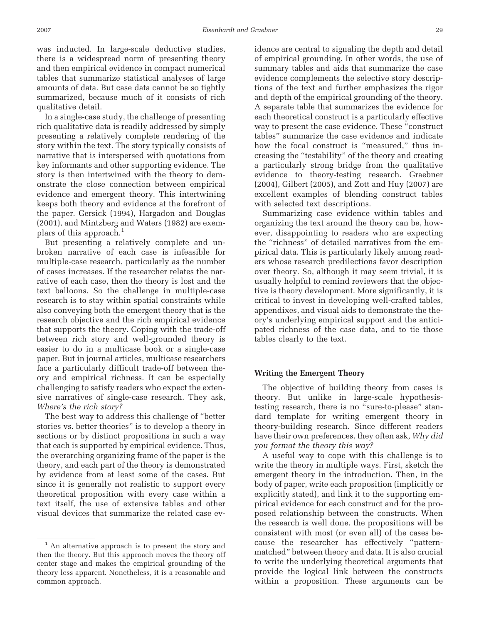was inducted. In large-scale deductive studies, there is a widespread norm of presenting theory and then empirical evidence in compact numerical tables that summarize statistical analyses of large amounts of data. But case data cannot be so tightly summarized, because much of it consists of rich qualitative detail.

In a single-case study, the challenge of presenting rich qualitative data is readily addressed by simply presenting a relatively complete rendering of the story within the text. The story typically consists of narrative that is interspersed with quotations from key informants and other supporting evidence. The story is then intertwined with the theory to demonstrate the close connection between empirical evidence and emergent theory. This intertwining keeps both theory and evidence at the forefront of the paper. Gersick (1994), Hargadon and Douglas (2001), and Mintzberg and Waters (1982) are exemplars of this approach.<sup>1</sup>

But presenting a relatively complete and unbroken narrative of each case is infeasible for multiple-case research, particularly as the number of cases increases. If the researcher relates the narrative of each case, then the theory is lost and the text balloons. So the challenge in multiple-case research is to stay within spatial constraints while also conveying both the emergent theory that is the research objective and the rich empirical evidence that supports the theory. Coping with the trade-off between rich story and well-grounded theory is easier to do in a multicase book or a single-case paper. But in journal articles, multicase researchers face a particularly difficult trade-off between theory and empirical richness. It can be especially challenging to satisfy readers who expect the extensive narratives of single-case research. They ask, *Where's the rich story?*

The best way to address this challenge of "better stories vs. better theories" is to develop a theory in sections or by distinct propositions in such a way that each is supported by empirical evidence. Thus, the overarching organizing frame of the paper is the theory, and each part of the theory is demonstrated by evidence from at least some of the cases. But since it is generally not realistic to support every theoretical proposition with every case within a text itself, the use of extensive tables and other visual devices that summarize the related case evidence are central to signaling the depth and detail of empirical grounding. In other words, the use of summary tables and aids that summarize the case evidence complements the selective story descriptions of the text and further emphasizes the rigor and depth of the empirical grounding of the theory. A separate table that summarizes the evidence for each theoretical construct is a particularly effective way to present the case evidence. These "construct tables" summarize the case evidence and indicate how the focal construct is "measured," thus increasing the "testability" of the theory and creating a particularly strong bridge from the qualitative evidence to theory-testing research. Graebner (2004), Gilbert (2005), and Zott and Huy (2007) are excellent examples of blending construct tables with selected text descriptions.

Summarizing case evidence within tables and organizing the text around the theory can be, however, disappointing to readers who are expecting the "richness" of detailed narratives from the empirical data. This is particularly likely among readers whose research predilections favor description over theory. So, although it may seem trivial, it is usually helpful to remind reviewers that the objective is theory development. More significantly, it is critical to invest in developing well-crafted tables, appendixes, and visual aids to demonstrate the theory's underlying empirical support and the anticipated richness of the case data, and to tie those tables clearly to the text.

#### **Writing the Emergent Theory**

The objective of building theory from cases is theory. But unlike in large-scale hypothesistesting research, there is no "sure-to-please" standard template for writing emergent theory in theory-building research. Since different readers have their own preferences, they often ask, *Why did you format the theory this way?*

A useful way to cope with this challenge is to write the theory in multiple ways. First, sketch the emergent theory in the introduction. Then, in the body of paper, write each proposition (implicitly or explicitly stated), and link it to the supporting empirical evidence for each construct and for the proposed relationship between the constructs. When the research is well done, the propositions will be consistent with most (or even all) of the cases because the researcher has effectively "patternmatched" between theory and data. It is also crucial to write the underlying theoretical arguments that provide the logical link between the constructs within a proposition. These arguments can be

<sup>&</sup>lt;sup>1</sup> An alternative approach is to present the story and then the theory. But this approach moves the theory off center stage and makes the empirical grounding of the theory less apparent. Nonetheless, it is a reasonable and common approach.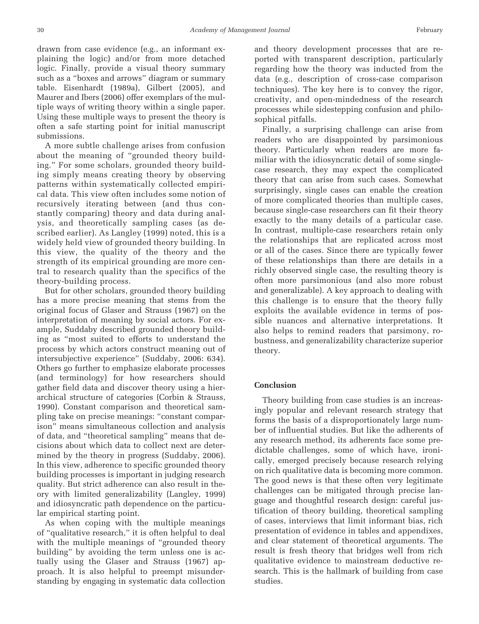drawn from case evidence (e.g., an informant explaining the logic) and/or from more detached logic. Finally, provide a visual theory summary such as a "boxes and arrows" diagram or summary table. Eisenhardt (1989a), Gilbert (2005), and Maurer and Ibers (2006) offer exemplars of the multiple ways of writing theory within a single paper. Using these multiple ways to present the theory is often a safe starting point for initial manuscript submissions.

A more subtle challenge arises from confusion about the meaning of "grounded theory building." For some scholars, grounded theory building simply means creating theory by observing patterns within systematically collected empirical data. This view often includes some notion of recursively iterating between (and thus constantly comparing) theory and data during analysis, and theoretically sampling cases (as described earlier). As Langley (1999) noted, this is a widely held view of grounded theory building. In this view, the quality of the theory and the strength of its empirical grounding are more central to research quality than the specifics of the theory-building process.

But for other scholars, grounded theory building has a more precise meaning that stems from the original focus of Glaser and Strauss (1967) on the interpretation of meaning by social actors. For example, Suddaby described grounded theory building as "most suited to efforts to understand the process by which actors construct meaning out of intersubjective experience" (Suddaby, 2006: 634). Others go further to emphasize elaborate processes (and terminology) for how researchers should gather field data and discover theory using a hierarchical structure of categories (Corbin & Strauss, 1990). Constant comparison and theoretical sampling take on precise meanings: "constant comparison" means simultaneous collection and analysis of data, and "theoretical sampling" means that decisions about which data to collect next are determined by the theory in progress (Suddaby, 2006). In this view, adherence to specific grounded theory building processes is important in judging research quality. But strict adherence can also result in theory with limited generalizability (Langley, 1999) and idiosyncratic path dependence on the particular empirical starting point.

As when coping with the multiple meanings of "qualitative research," it is often helpful to deal with the multiple meanings of "grounded theory building" by avoiding the term unless one is actually using the Glaser and Strauss (1967) approach. It is also helpful to preempt misunderstanding by engaging in systematic data collection

and theory development processes that are reported with transparent description, particularly regarding how the theory was inducted from the data (e.g., description of cross-case comparison techniques). The key here is to convey the rigor, creativity, and open-mindedness of the research processes while sidestepping confusion and philosophical pitfalls.

Finally, a surprising challenge can arise from readers who are disappointed by parsimonious theory. Particularly when readers are more familiar with the idiosyncratic detail of some singlecase research, they may expect the complicated theory that can arise from such cases. Somewhat surprisingly, single cases can enable the creation of more complicated theories than multiple cases, because single-case researchers can fit their theory exactly to the many details of a particular case. In contrast, multiple-case researchers retain only the relationships that are replicated across most or all of the cases. Since there are typically fewer of these relationships than there are details in a richly observed single case, the resulting theory is often more parsimonious (and also more robust and generalizable). A key approach to dealing with this challenge is to ensure that the theory fully exploits the available evidence in terms of possible nuances and alternative interpretations. It also helps to remind readers that parsimony, robustness, and generalizability characterize superior theory.

# **Conclusion**

Theory building from case studies is an increasingly popular and relevant research strategy that forms the basis of a disproportionately large number of influential studies. But like the adherents of any research method, its adherents face some predictable challenges, some of which have, ironically, emerged precisely because research relying on rich qualitative data is becoming more common. The good news is that these often very legitimate challenges can be mitigated through precise language and thoughtful research design: careful justification of theory building, theoretical sampling of cases, interviews that limit informant bias, rich presentation of evidence in tables and appendixes, and clear statement of theoretical arguments. The result is fresh theory that bridges well from rich qualitative evidence to mainstream deductive research. This is the hallmark of building from case studies.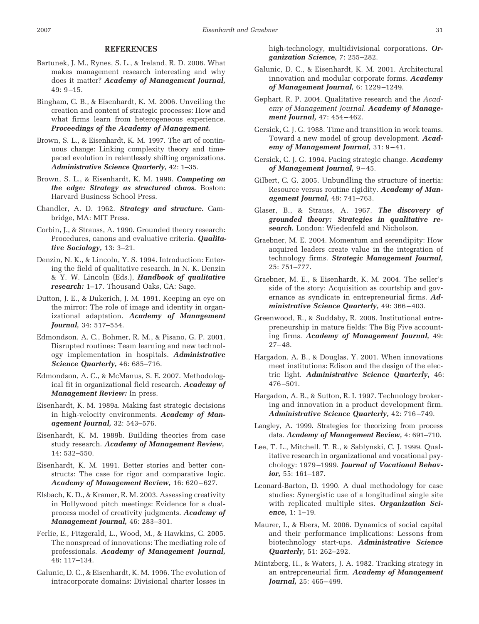### **REFERENCES**

- Bartunek, J. M., Rynes, S. L., & Ireland, R. D. 2006. What makes management research interesting and why does it matter? *Academy of Management Journal,* 49: 9 –15.
- Bingham, C. B., & Eisenhardt, K. M. 2006. Unveiling the creation and content of strategic processes: How and what firms learn from heterogeneous experience. *Proceedings of the Academy of Management.*
- Brown, S. L., & Eisenhardt, K. M. 1997. The art of continuous change: Linking complexity theory and timepaced evolution in relentlessly shifting organizations. *Administrative Science Quarterly,* 42: 1–35.
- Brown, S. L., & Eisenhardt, K. M. 1998. *Competing on the edge: Strategy as structured chaos.* Boston: Harvard Business School Press.
- Chandler, A. D. 1962. *Strategy and structure.* Cambridge, MA: MIT Press.
- Corbin, J., & Strauss, A. 1990. Grounded theory research: Procedures, canons and evaluative criteria. *Qualitative Sociology,* 13: 3–21.
- Denzin, N. K., & Lincoln, Y. S. 1994. Introduction: Entering the field of qualitative research. In N. K. Denzin & Y. W. Lincoln (Eds.), *Handbook of qualitative research:* 1–17. Thousand Oaks, CA: Sage.
- Dutton, J. E., & Dukerich, J. M. 1991. Keeping an eye on the mirror: The role of image and identity in organizational adaptation. *Academy of Management Journal,* 34: 517–554.
- Edmondson, A. C., Bohmer, R. M., & Pisano, G. P. 2001. Disrupted routines: Team learning and new technology implementation in hospitals. *Administrative Science Quarterly,* 46: 685–716.
- Edmondson, A. C., & McManus, S. E. 2007. Methodological fit in organizational field research. *Academy of Management Review:* In press.
- Eisenhardt, K. M. 1989a. Making fast strategic decisions in high-velocity environments. *Academy of Management Journal,* 32: 543–576.
- Eisenhardt, K. M. 1989b. Building theories from case study research. *Academy of Management Review,* 14: 532–550.
- Eisenhardt, K. M. 1991. Better stories and better constructs: The case for rigor and comparative logic. *Academy of Management Review,* 16: 620 – 627.
- Elsbach, K. D., & Kramer, R. M. 2003. Assessing creativity in Hollywood pitch meetings: Evidence for a dualprocess model of creativity judgments. *Academy of Management Journal,* 46: 283–301.
- Ferlie, E., Fitzgerald, L., Wood, M., & Hawkins, C. 2005. The nonspread of innovations: The mediating role of professionals. *Academy of Management Journal,* 48: 117–134.
- Galunic, D. C., & Eisenhardt, K. M. 1996. The evolution of intracorporate domains: Divisional charter losses in

high-technology, multidivisional corporations. *Organization Science,* 7: 255–282.

- Galunic, D. C., & Eisenhardt, K. M. 2001. Architectural innovation and modular corporate forms. *Academy of Management Journal,* 6: 1229 –1249.
- Gephart, R. P. 2004. Qualitative research and the *Academy of Management Journal. Academy of Management Journal,* 47: 454 – 462.
- Gersick, C. J. G. 1988. Time and transition in work teams. Toward a new model of group development. *Academy of Management Journal,* 31: 9-41.
- Gersick, C. J. G. 1994. Pacing strategic change. *Academy of Management Journal,* 9 – 45.
- Gilbert, C. G. 2005. Unbundling the structure of inertia: Resource versus routine rigidity. *Academy of Management Journal,* 48: 741–763.
- Glaser, B., & Strauss, A. 1967. *The discovery of grounded theory: Strategies in qualitative research.* London: Wiedenfeld and Nicholson.
- Graebner, M. E. 2004. Momentum and serendipity: How acquired leaders create value in the integration of technology firms. *Strategic Management Journal,* 25: 751–777.
- Graebner, M. E., & Eisenhardt, K. M. 2004. The seller's side of the story: Acquisition as courtship and governance as syndicate in entrepreneurial firms. *Administrative Science Quarterly,* 49: 366 – 403.
- Greenwood, R., & Suddaby, R. 2006. Institutional entrepreneurship in mature fields: The Big Five accounting firms. *Academy of Management Journal,* 49:  $27 - 48.$
- Hargadon, A. B., & Douglas, Y. 2001. When innovations meet institutions: Edison and the design of the electric light. *Administrative Science Quarterly,* 46: 476 –501.
- Hargadon, A. B., & Sutton, R. I. 1997. Technology brokering and innovation in a product development firm. *Administrative Science Quarterly,* 42: 716 –749.
- Langley, A. 1999. Strategies for theorizing from process data. *Academy of Management Review,* 4: 691–710.
- Lee, T. L., Mitchell, T. R., & Sablynski, C. J. 1999. Qualitative research in organizational and vocational psychology: 1979 –1999. *Journal of Vocational Behavior,* 55: 161–187.
- Leonard-Barton, D. 1990. A dual methodology for case studies: Synergistic use of a longitudinal single site with replicated multiple sites. *Organization Science,* 1: 1–19.
- Maurer, I., & Ebers, M. 2006. Dynamics of social capital and their performance implications: Lessons from biotechnology start-ups. *Administrative Science Quarterly,* 51: 262–292.
- Mintzberg, H., & Waters, J. A. 1982. Tracking strategy in an entrepreneurial firm. *Academy of Management Journal,* 25: 465-499.